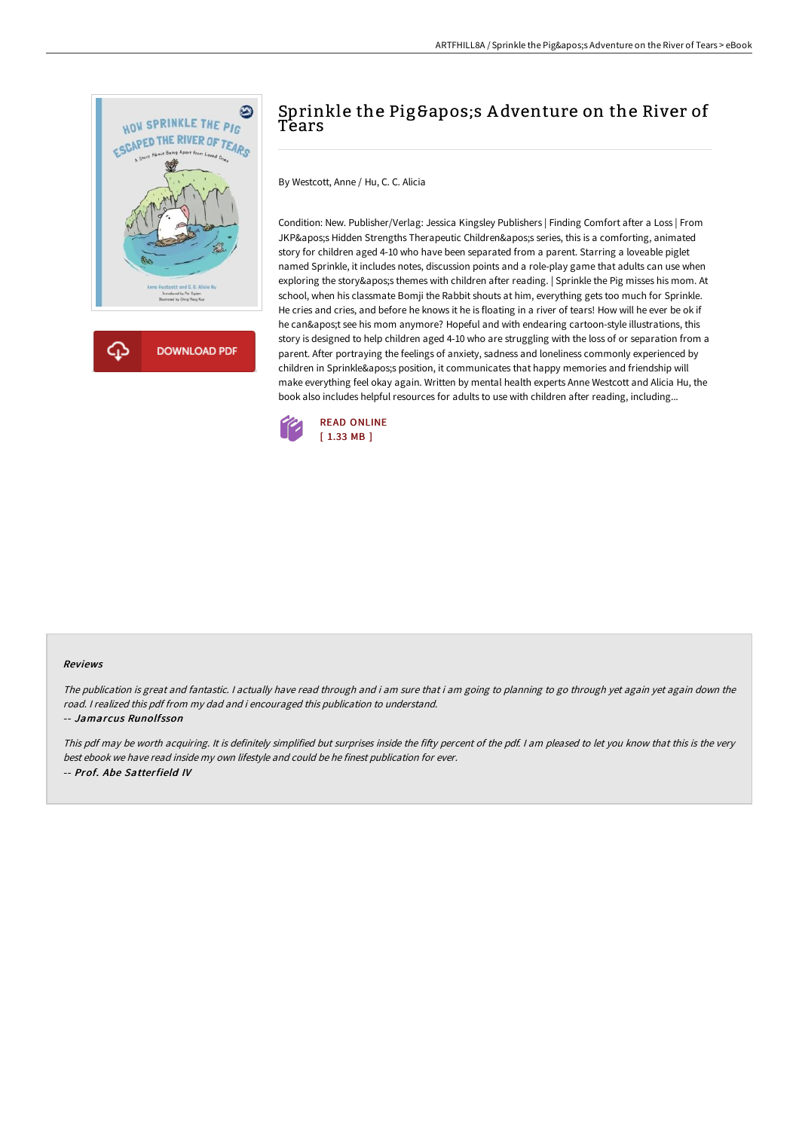

## Sprinkle the Pig's Adventure on the River of Tears

By Westcott, Anne / Hu, C. C. Alicia

Condition: New. Publisher/Verlag: Jessica Kingsley Publishers | Finding Comfort after a Loss | From JKP's Hidden Strengths Therapeutic Children's series, this is a comforting, animated story for children aged 4-10 who have been separated from a parent. Starring a loveable piglet named Sprinkle, it includes notes, discussion points and a role-play game that adults can use when exploring the story's themes with children after reading. | Sprinkle the Pig misses his mom. At school, when his classmate Bomji the Rabbit shouts at him, everything gets too much for Sprinkle. He cries and cries, and before he knows it he is floating in a river of tears! How will he ever be ok if he can't see his mom anymore? Hopeful and with endearing cartoon-style illustrations, this story is designed to help children aged 4-10 who are struggling with the loss of or separation from a parent. After portraying the feelings of anxiety, sadness and loneliness commonly experienced by children in Sprinkle's position, it communicates that happy memories and friendship will make everything feel okay again. Written by mental health experts Anne Westcott and Alicia Hu, the book also includes helpful resources for adults to use with children after reading, including...



## Reviews

The publication is great and fantastic. <sup>I</sup> actually have read through and i am sure that i am going to planning to go through yet again yet again down the road. <sup>I</sup> realized this pdf from my dad and i encouraged this publication to understand.

-- Jamarcus Runolfsson

This pdf may be worth acquiring. It is definitely simplified but surprises inside the fifty percent of the pdf. I am pleased to let you know that this is the very best ebook we have read inside my own lifestyle and could be he finest publication for ever. -- Prof. Abe Satterfield IV